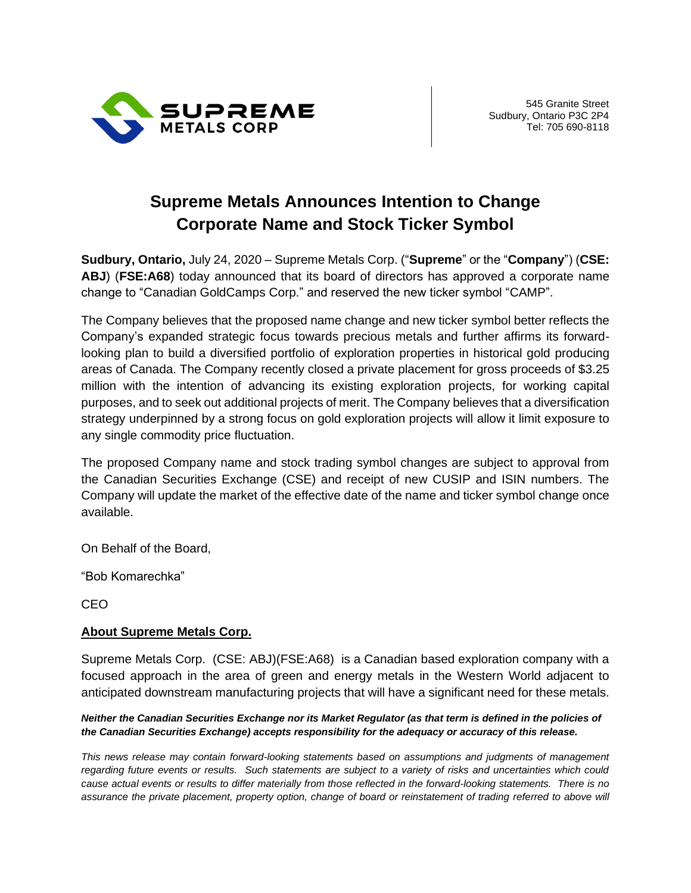

## **Supreme Metals Announces Intention to Change Corporate Name and Stock Ticker Symbol**

**Sudbury, Ontario,** July 24, 2020 – Supreme Metals Corp. ("**Supreme**" or the "**Company**") (**CSE: ABJ**) (**FSE:A68**) today announced that its board of directors has approved a corporate name change to "Canadian GoldCamps Corp." and reserved the new ticker symbol "CAMP".

The Company believes that the proposed name change and new ticker symbol better reflects the Company's expanded strategic focus towards precious metals and further affirms its forwardlooking plan to build a diversified portfolio of exploration properties in historical gold producing areas of Canada. The Company recently closed a private placement for gross proceeds of \$3.25 million with the intention of advancing its existing exploration projects, for working capital purposes, and to seek out additional projects of merit. The Company believes that a diversification strategy underpinned by a strong focus on gold exploration projects will allow it limit exposure to any single commodity price fluctuation.

The proposed Company name and stock trading symbol changes are subject to approval from the Canadian Securities Exchange (CSE) and receipt of new CUSIP and ISIN numbers. The Company will update the market of the effective date of the name and ticker symbol change once available.

On Behalf of the Board,

"Bob Komarechka"

CEO

## **About Supreme Metals Corp.**

Supreme Metals Corp. (CSE: ABJ)(FSE:A68) is a Canadian based exploration company with a focused approach in the area of green and energy metals in the Western World adjacent to anticipated downstream manufacturing projects that will have a significant need for these metals.

## *Neither the Canadian Securities Exchange nor its Market Regulator (as that term is defined in the policies of the Canadian Securities Exchange) accepts responsibility for the adequacy or accuracy of this release.*

*This news release may contain forward-looking statements based on assumptions and judgments of management regarding future events or results. Such statements are subject to a variety of risks and uncertainties which could cause actual events or results to differ materially from those reflected in the forward-looking statements. There is no assurance the private placement, property option, change of board or reinstatement of trading referred to above will*